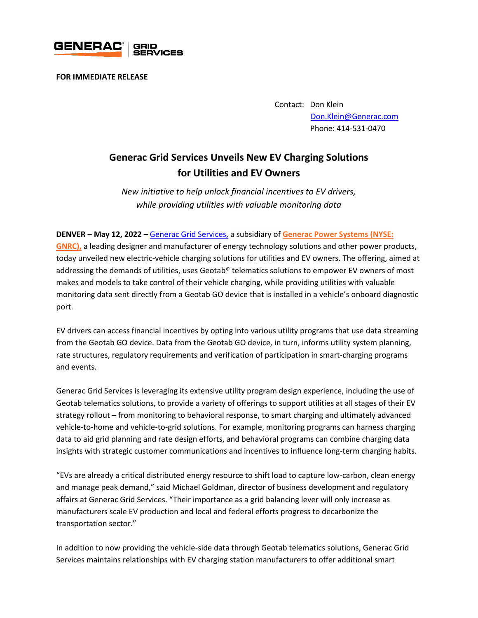

**FOR IMMEDIATE RELEASE** 

Contact: Don Klein [Don.Klein@Generac.com](mailto:Don.Klein@Generac.com) Phone: 414-531-0470

## **Generac Grid Services Unveils New EV Charging Solutions for Utilities and EV Owners**

*New initiative to help unlock financial incentives to EV drivers, while providing utilities with valuable monitoring data*

## **DENVER** – **May 12, 2022 –** [Generac Grid Services,](https://www.enbala.com/) a subsidiary of **[Generac Power Systems \(NYSE:](http://www.generac.com/)**

**[GNRC\),](http://www.generac.com/)** a leading designer and manufacturer of energy technology solutions and other power products, today unveiled new electric-vehicle charging solutions for utilities and EV owners. The offering, aimed at addressing the demands of utilities, uses Geotab® telematics solutions to empower EV owners of most makes and models to take control of their vehicle charging, while providing utilities with valuable monitoring data sent directly from a Geotab GO device that is installed in a vehicle's onboard diagnostic port.

EV drivers can access financial incentives by opting into various utility programs that use data streaming from the Geotab GO device. Data from the Geotab GO device, in turn, informs utility system planning, rate structures, regulatory requirements and verification of participation in smart-charging programs and events.

Generac Grid Services is leveraging its extensive utility program design experience, including the use of Geotab telematics solutions, to provide a variety of offerings to support utilities at all stages of their EV strategy rollout – from monitoring to behavioral response, to smart charging and ultimately advanced vehicle-to-home and vehicle-to-grid solutions. For example, monitoring programs can harness charging data to aid grid planning and rate design efforts, and behavioral programs can combine charging data insights with strategic customer communications and incentives to influence long-term charging habits.

"EVs are already a critical distributed energy resource to shift load to capture low-carbon, clean energy and manage peak demand," said Michael Goldman, director of business development and regulatory affairs at Generac Grid Services. "Their importance as a grid balancing lever will only increase as manufacturers scale EV production and local and federal efforts progress to decarbonize the transportation sector."

In addition to now providing the vehicle-side data through Geotab telematics solutions, Generac Grid Services maintains relationships with EV charging station manufacturers to offer additional smart